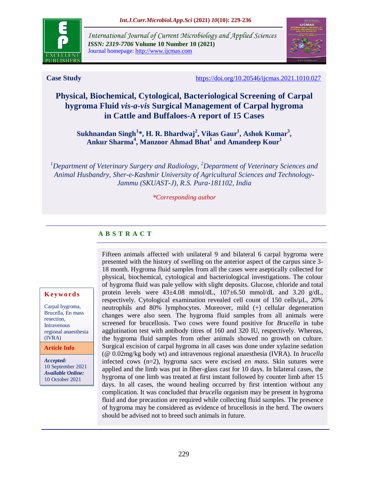

*International Journal of Current Microbiology and Applied Sciences ISSN: 2319-7706* **Volume 10 Number 10 (2021)**  Journal homepage: http://www.ijcmas.com



**Case Study <https://doi.org/10.20546/ijcmas.2021.1010.027>** 

# **Physical, Biochemical, Cytological, Bacteriological Screening of Carpal hygroma Fluid** *vis-a-vis* **Surgical Management of Carpal hygroma in Cattle and Buffaloes-A report of 15 Cases**

**Sukhnandan Singh<sup>1</sup> \*, H. R. Bhardwaj<sup>2</sup> , Vikas Gaur<sup>1</sup> , Ashok Kumar<sup>3</sup> , Ankur Sharma<sup>4</sup> , Manzoor Ahmad Bhat<sup>1</sup> and Amandeep Kour<sup>1</sup>**

*<sup>1</sup>Department of Veterinary Surgery and Radiology, <sup>2</sup>Department of Veterinary Sciences and Animal Husbandry, Sher-e-Kashmir University of Agricultural Sciences and Technology-Jammu (SKUAST-J), R.S. Pura-181102, India*

*\*Corresponding author*

## **A B S T R A C T**

#### **K ey w o rd s**

Carpal hygroma, Brucella, En mass resection, **Intravenous** regional anaesthesia (IVRA)

**Article Info**

*Accepted:*  10 September 2021 *Available Online:* 10 October 2021

Fifteen animals affected with unilateral 9 and bilateral 6 carpal hygroma were presented with the history of swelling on the anterior aspect of the carpus since 3- 18 month. Hygroma fluid samples from all the cases were aseptically collected for physical, biochemical, cytological and bacteriological investigations. The colour of hygroma fluid was pale yellow with slight deposits. Glucose, chloride and total protein levels were 43±4.08 mmol/dL, 107±6.50 mmol/dL and 3.20 g/dL, respectively. Cytological examination revealed cell count of 150 cells/µL, 20% neutrophils and 80% lymphocytes. Moreover, mild (+) cellular degeneration changes were also seen. The hygroma fluid samples from all animals were screened for brucellosis. Two cows were found positive for *Brucella* in tube agglutination test with antibody titres of 160 and 320 IU, respectively. Whereas, the hygroma fluid samples from other animals showed no growth on culture. Surgical excision of carpal hygroma in all cases was done under xylazine sedation (@ 0.02mg/kg body wt) and intravenous regional anaesthesia (IVRA). In *brucella* infected cows (n=2), hygroma sacs were excised *en mass.* Skin sutures were applied and the limb was put in fiber-glass cast for 10 days. In bilateral cases, the hygroma of one limb was treated at first instant followed by counter limb after 15 days. In all cases, the wound healing occurred by first intention without any complication. It was concluded that *brucella* organism may be present in hygroma fluid and due precaution are required while collecting fluid samples. The presence of hygroma may be considered as evidence of brucellosis in the herd. The owners should be advised not to breed such animals in future.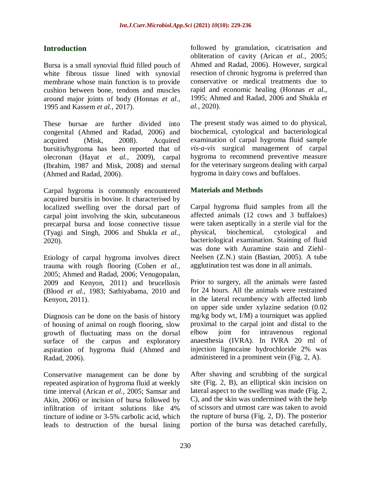## **Introduction**

Bursa is a small synovial fluid filled pouch of white fibrous tissue lined with synovial membrane whose main function is to provide cushion between bone, tendons and muscles around major joints of body (Honnas *et al.,* 1995 and Kassem *et al.,* 2017).

These bursae are further divided into congenital (Ahmed and Radad, 2006) and acquired (Misk, 2008). Acquired bursitis**/**hygroma has been reported that of olecronan (Hayat *et al.,* 2009), carpal (Ibrahim, 1987 and Misk, 2008) and sternal (Ahmed and Radad, 2006).

Carpal hygroma is commonly encountered acquired bursitis in bovine. It characterised by localized swelling over the dorsal part of carpal joint involving the skin, subcutaneous precarpal bursa and loose connective tissue (Tyagi and Singh, 2006 and Shukla *et al.,* 2020).

Etiology of carpal hygroma involves direct trauma with rough flooring (Cohen *et al.,* 2005; Ahmed and Radad, 2006; Venugopalan, 2009 and Kenyon, 2011) and brucellosis (Blood *et al.,* 1983; Sathiyabama, 2010 and Kenyon, 2011).

Diagnosis can be done on the basis of history of housing of animal on rough flooring, slow growth of fluctuating mass on the dorsal surface of the carpus and exploratory aspiration of hygroma fluid (Ahmed and Radad, 2006).

Conservative management can be done by repeated aspiration of hygroma fluid at weekly time interval (Arican *et al.,* 2005; Samsar and Akin, 2006) or incision of bursa followed by infiltration of irritant solutions like 4% tincture of iodine or 3-5% carbolic acid, which leads to destruction of the bursal lining followed by granulation, cicatrisation and obliteration of cavity (Arican *et al.,* 2005; Ahmed and Radad, 2006). However, surgical resection of chronic hygroma is preferred than conservative or medical treatments due to rapid and economic healing (Honnas *et al.,* 1995; Ahmed and Radad, 2006 and Shukla *et al.,* 2020).

The present study was aimed to do physical, biochemical, cytological and bacteriological examination of carpal hygroma fluid sample *vis-a-vis* surgical management of carpal hygroma to recommend preventive measure for the veterinary surgeons dealing with carpal hygroma in dairy cows and buffaloes.

#### **Materials and Methods**

Carpal hygroma fluid samples from all the affected animals (12 cows and 3 buffaloes) were taken aseptically in a sterile vial for the physical, biochemical, cytological and bacteriological examination. Staining of fluid was done with Auramine stain and Ziehl– Neelsen (Z.N.) stain (Bastian, 2005). A tube agglutination test was done in all animals.

Prior to surgery, all the animals were fasted for 24 hours. All the animals were restrained in the lateral recumbency with affected limb on upper side under xylazine sedation (0.02 mg/kg body wt, I/M) a tourniquet was applied proximal to the carpal joint and distal to the elbow joint for intravenous regional anaesthesia (IVRA). In IVRA 20 ml of injection lignocaine hydrochloride 2% was administered in a prominent vein (Fig. 2, A).

After shaving and scrubbing of the surgical site (Fig. 2, B), an elliptical skin incision on lateral aspect to the swelling was made (Fig. 2, C), and the skin was undermined with the help of scissors and utmost care was taken to avoid the rupture of bursa (Fig. 2, D). The posterior portion of the bursa was detached carefully,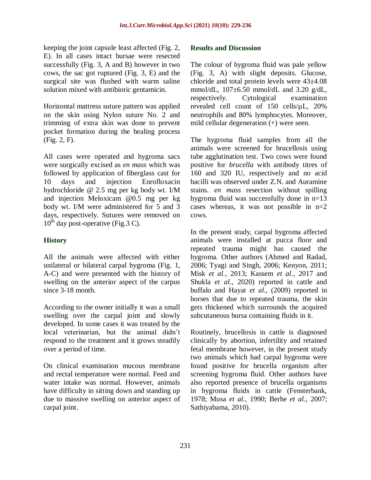keeping the joint capsule least affected (Fig. 2, E). In all cases intact bursae were resected successfully (Fig. 3, A and B) however in two cows, the sac got ruptured (Fig. 3, E) and the surgical site was flushed with warm saline solution mixed with antibiotic gentamicin.

Horizontal mattress suture pattern was applied on the skin using Nylon suture No. 2 and trimming of extra skin was done to prevent pocket formation during the healing process (Fig. 2, F).

All cases were operated and hygroma sacs were surgically excised as *en mass* which was followed by application of fiberglass cast for 10 days and injection Enrofloxacin hydrochloride @ 2.5 mg per kg body wt. I/M and injection Meloxicam @0.5 mg per kg body wt. I/M were administered for 5 and 3 days, respectively. Sutures were removed on  $10^{th}$  day post-operative (Fig.3 C).

## **History**

All the animals were affected with either unilateral or bilateral carpal hygroma (Fig. 1, A-C) and were presented with the history of swelling on the anterior aspect of the carpus since 3-18 month.

According to the owner initially it was a small swelling over the carpal joint and slowly developed. In some cases it was treated by the local veterinarian, but the animal didn't respond to the treatment and it grows steadily over a period of time.

On clinical examination mucous membrane and rectal temperature were normal. Feed and water intake was normal. However, animals have difficulty in sitting down and standing up due to massive swelling on anterior aspect of carpal joint.

#### **Results and Discussion**

The colour of hygroma fluid was pale yellow (Fig. 3, A) with slight deposits. Glucose, chloride and total protein levels were 43±4.08 mmol/dL, 107±6.50 mmol/dL and 3.20 g/dL, respectively. Cytological examination revealed cell count of 150 cells/µL, 20% neutrophils and 80% lymphocytes. Moreover, mild cellular degeneration (+) were seen.

The hygroma fluid samples from all the animals were screened for brucellosis using tube agglutination test. Two cows were found positive for *brucella* with antibody titres of 160 and 320 IU, respectively and no acid bacilli was observed under Z.N. and Auramine stains. *en mass* resection without spilling hygroma fluid was successfully done in n=13 cases whereas, it was not possible in  $n=2$ cows.

In the present study, carpal hygroma affected animals were installed at pucca floor and repeated trauma might has caused the hygroma. Other authors (Ahmed and Radad, 2006; Tyagi and Singh, 2006; Kenyon, 2011; Misk *et al.,* 2013; Kassem *et al.,* 2017 and Shukla *et al.,* 2020) reported in cattle and buffalo and Hayat *et al.,* (2009) reported in horses that due to repeated trauma, the skin gets thickened which surrounds the acquired subcutaneous bursa containing fluids in it.

Routinely, brucellosis in cattle is diagnosed clinically by abortion, infertility and retained fetal membrane however, in the present study two animals which had carpal hygroma were found positive for brucella organism after screening hygroma fluid. Other authors have also reported presence of brucella organisms in hygroma fluids in cattle (Fensterbank, 1978; Musa *et al.,* 1990; Berhe *et al.,* 2007; Sathiyabama, 2010).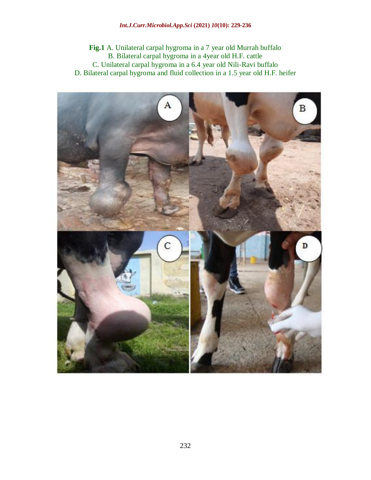**Fig.1** A. Unilateral carpal hygroma in a 7 year old Murrah buffalo B. Bilateral carpal hygroma in a 4year old H.F. cattle C. Unilateral carpal hygroma in a 6.4 year old Nili-Ravi buffalo D. Bilateral carpal hygroma and fluid collection in a 1.5 year old H.F. heifer

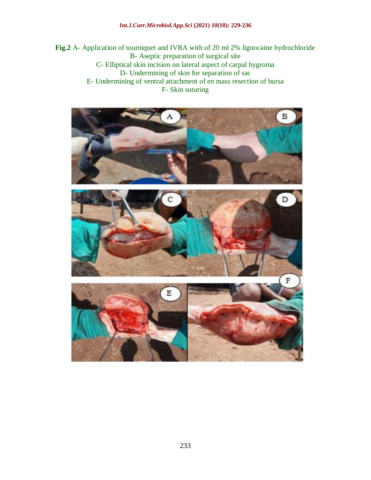#### *Int.J.Curr.Microbiol.App.Sci* **(2021)** *10***(10): 229-236**

**Fig.2** A- Application of tourniquet and IVRA with of 20 ml 2% lignocaine hydrochloride B- Aseptic preparation of surgical site C- Elliptical skin incision on lateral aspect of carpal hygroma D- Undermining of skin for separation of sac E- Undermining of ventral attachment of en mass resection of bursa F- Skin suturing

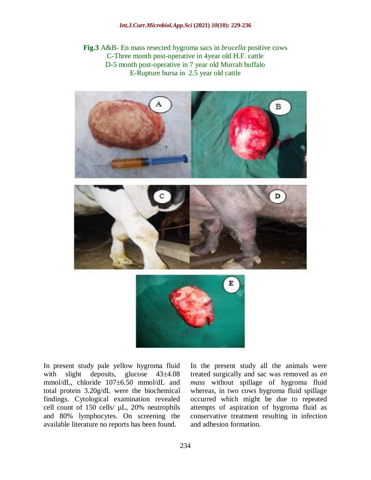**Fig.3** A&B- En mass resected hygroma sacs in *brucella* positive cows C-Three month post-operative in 4year old H.F. cattle D-5 month post-operative in 7 year old Murrah buffalo E-Rupture bursa in 2.5 year old cattle



In present study pale yellow hygroma fluid with slight deposits, glucose  $43\pm4.08$ mmol/dL, chloride 107±6.50 mmol/dL and total protein 3.20g/dL were the biochemical findings. Cytological examination revealed cell count of 150 cells/ µL, 20% neutrophils and 80% lymphocytes. On screening the available literature no reports has been found.

In the present study all the animals were treated surgically and sac was removed as *en mass* without spillage of hygroma fluid whereas, in two cows hygroma fluid spillage occurred which might be due to repeated attempts of aspiration of hygroma fluid as conservative treatment resulting in infection and adhesion formation.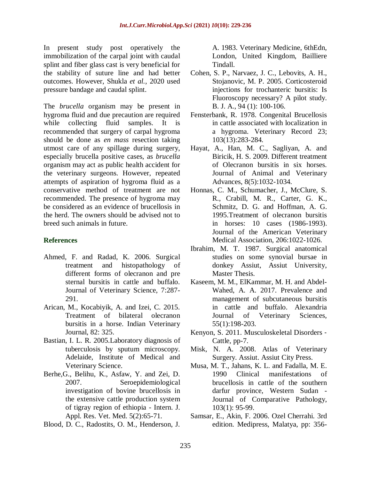In present study post operatively the immobilization of the carpal joint with caudal splint and fiber glass cast is very beneficial for the stability of suture line and had better outcomes. However, Shukla *et al.,* 2020 used pressure bandage and caudal splint.

The *brucella* organism may be present in hygroma fluid and due precaution are required while collecting fluid samples. It is recommended that surgery of carpal hygroma should be done as *en mass* resection taking utmost care of any spillage during surgery, especially brucella positive cases, as *brucella* organism may act as public health accident for the veterinary surgeons. However, repeated attempts of aspiration of hygroma fluid as a conservative method of treatment are not recommended. The presence of hygroma may be considered as an evidence of brucellosis in the herd. The owners should be advised not to breed such animals in future.

#### **References**

- Ahmed, F. and Radad, K. 2006. Surgical treatment and histopathology of different forms of olecranon and pre sternal bursitis in cattle and buffalo. Journal of Veterinary Science, 7:287- 291.
- Arican, M., Kocabiyik, A. and Izei, C. 2015. Treatment of bilateral olecranon bursitis in a horse. Indian Veterinary Journal, 82: 325.
- Bastian, I. L. R. 2005.Laboratory diagnosis of tuberculosis by sputum microscopy. Adelaide, Institute of Medical and Veterinary Science.
- Berhe,G., Belihu, K., Asfaw, Y. and Zei, D. 2007. Seroepidemiological investigation of bovine brucellosis in the extensive cattle production system of tigray region of ethiopia - Intern. J. Appl. Res. Vet. Med. 5(2):65-71.
- Blood, D. C., Radostits, O. M., Henderson, J.

A. 1983. Veterinary Medicine, 6thEdn, London, United Kingdom, Bailliere Tindall.

- Cohen, S. P., Narvaez, J. C., Lebovits, A. H., Stojanovic, M. P. 2005. Corticosteroid injections for trochanteric bursitis: Is Fluoroscopy necessary? A pilot study. B. J. A., 94 (1): 100-106.
- Fensterbank, R. 1978. Congenital Brucellosis in cattle associated with localization in a hygroma. Veterinary Record 23; 103(13):283-284.
- Hayat, A., Han, M. C., Sagliyan, A. and Biricik, H. S. 2009. Different treatment of Olecranon bursitis in six horses. Journal of Animal and Veterinary Advances, 8(5):1032-1034.
- Honnas, C. M., Schumacher, J., McClure, S. R., Crabill, M. R., Carter, G. K., Schmitz, D. G. and Hoffman, A. G. 1995.Treatment of olecranon bursitis in horses: 10 cases (1986-1993). Journal of the American Veterinary Medical Association, 206:1022-1026.
- Ibrahim, M. T. 1987. Surgical anatomical studies on some synovial bursae in donkey Assiut, Assiut University, Master Thesis.
- Kaseem, M. M., ElKammar, M. H. and Abdel-Wahed, A. A. 2017. Prevalence and management of subcutaneous bursitis in cattle and buffalo. Alexandria Journal of Veterinary Sciences, 55(1):198-203.
- Kenyon, S. 2011. Musculoskeletal Disorders ‐ Cattle, pp-7.
- Misk, N. A. 2008. Atlas of Veterinary Surgery. Assiut. Assiut City Press.
- Musa, M. T., Jahans, K. L. and Fadalla, M. E. 1990 Clinical manifestations of brucellosis in cattle of the southern darfur province, Western Sudan - Journal of Comparative Pathology, 103(1): 95-99.
- Samsar, E., Akin, F. 2006. Ozel Cherrahi. 3rd edition. Medipress, Malatya, pp: 356-